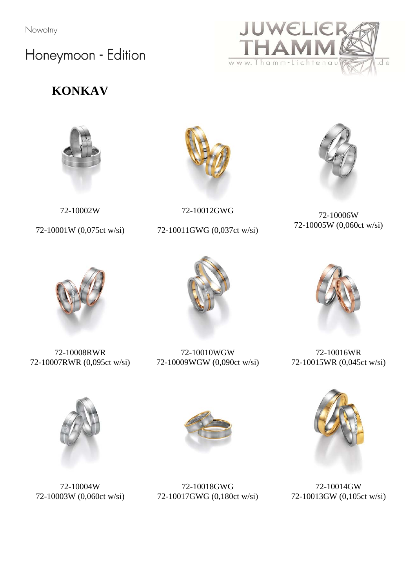### Honeymoon - Edition

#### **KONKAV**



72-10002W

72-10001W (0,075ct w/si)



72-10012GWG

72-10011GWG (0,037ct w/si)



d e

JWELIE

www. Thamm-Lichtenau

72-10006W 72-10005W (0,060ct w/si)



72-10008RWR 72-10007RWR (0,095ct w/si)



72-10010WGW 72-10009WGW (0,090ct w/si)



72-10016WR 72-10015WR (0,045ct w/si)



72-10004W 72-10003W (0,060ct w/si)



72-10018GWG 72-10017GWG (0,180ct w/si)



72-10014GW 72-10013GW (0,105ct w/si)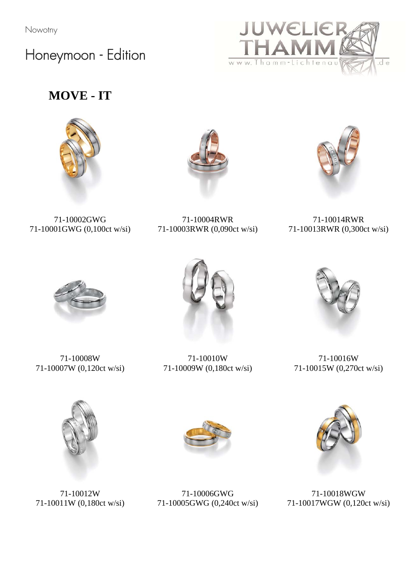Honeymoon - Edition



#### **MOVE - IT**





71-10002GWG 71-10001GWG (0,100ct w/si)

71-10004RWR 71-10003RWR (0,090ct w/si)

71-10014RWR 71-10013RWR (0,300ct w/si)



71-10008W 71-10007W (0,120ct w/si)



71-10010W 71-10009W (0,180ct w/si)



71-10016W 71-10015W (0,270ct w/si)



71-10012W 71-10011W (0,180ct w/si)



71-10006GWG 71-10005GWG (0,240ct w/si)



71-10018WGW 71-10017WGW (0,120ct w/si)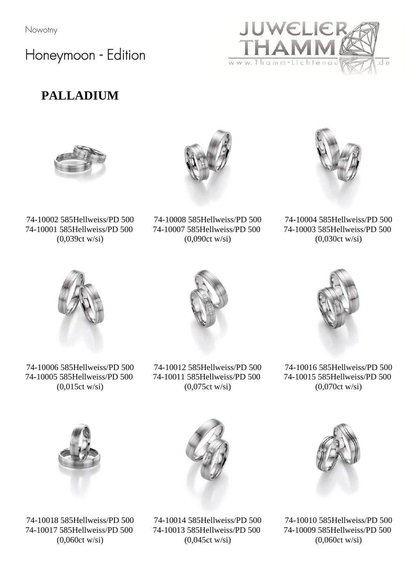Honeymoon - Edition









d e

UWELIE

www. Thamm-Lichtenau

74-10002 585Hellweiss/PD 500 74-10001 585Hellweiss/PD 500 (0,039ct w/si)

74-10008 585Hellweiss/PD 500 74-10007 585Hellweiss/PD 500 (0,090ct w/si)

74-10004 585Hellweiss/PD 500 74-10003 585Hellweiss/PD 500 (0,030ct w/si)



74-10006 585Hellweiss/PD 500 74-10005 585Hellweiss/PD 500 (0,015ct w/si)



74-10012 585Hellweiss/PD 500 74-10011 585Hellweiss/PD 500 (0,075ct w/si)

74-10016 585Hellweiss/PD 500 74-10015 585Hellweiss/PD 500 (0,070ct w/si)



74-10018 585Hellweiss/PD 500 74-10017 585Hellweiss/PD 500 (0,060ct w/si)

74-10014 585Hellweiss/PD 500 74-10013 585Hellweiss/PD 500 (0,045ct w/si)



74-10010 585Hellweiss/PD 500 74-10009 585Hellweiss/PD 500 (0,060ct w/si)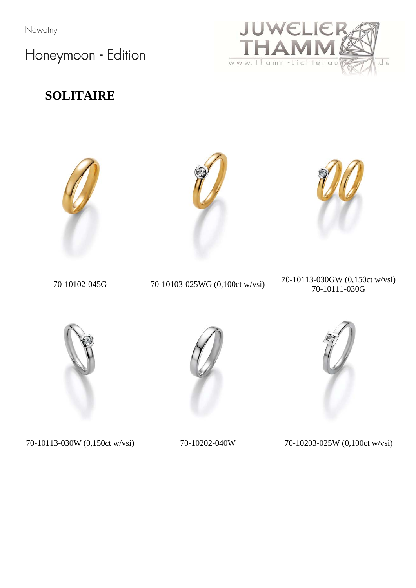Honeymoon - Edition



#### **SOLITAIRE**







 70-10102-045G 70-10103-025WG (0,100ct w/vsi) 70-10113-030GW (0,150ct w/vsi) 70-10111-030G



70-10113-030W (0,150ct w/vsi) 70-10202-040W 70-10203-025W (0,100ct w/vsi)



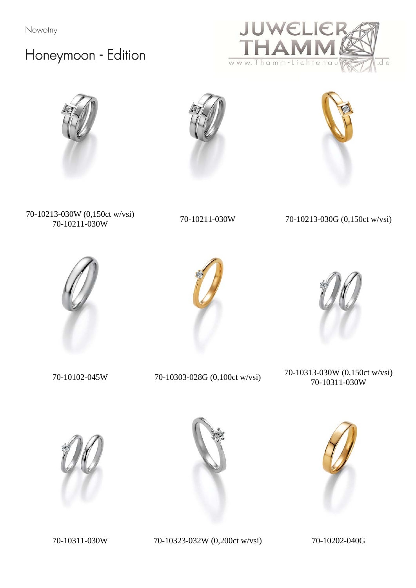## Honeymoon - Edition









70-10213-030W (0,150ct w/vsi) 70-10211-030W 70-10211-030W 70-10213-030G (0,150ct w/vsi)







70-10102-045W 70-10303-028G (0,100ct w/vsi) 70-10313-030W (0,150ct w/vsi) 70-10311-030W







70-10311-030W 70-10323-032W (0,200ct w/vsi) 70-10202-040G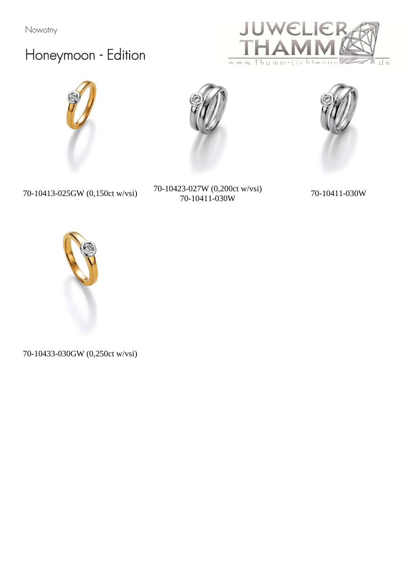# Honeymoon - Edition







70-10413-025GW (0,150ct w/vsi) 70-10423-027W (0,200ct w/vsi) 70-10411-030W 70-10411-030W





70-10433-030GW (0,250ct w/vsi)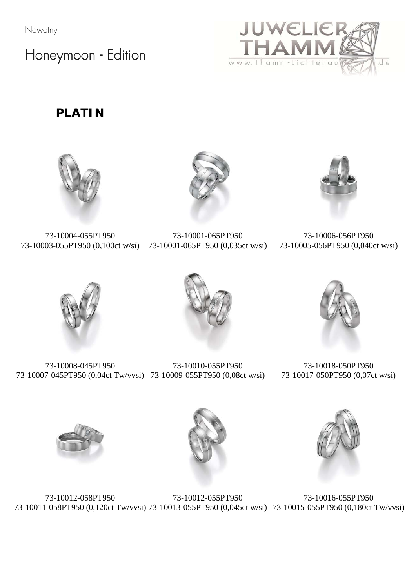Honeymoon - Edition



**PLATIN** 

![](_page_6_Picture_4.jpeg)

73-10004-055PT950 73-10003-055PT950 (0,100ct w/si) 73-10001-065PT950 (0,035ct w/si)

![](_page_6_Picture_6.jpeg)

73-10001-065PT950

73-10006-056PT950 73-10005-056PT950 (0,040ct w/si)

![](_page_6_Picture_10.jpeg)

73-10008-045PT950 73-10007-045PT950 (0,04ct Tw/vvsi) 73-10009-055PT950 (0,08ct w/si) 73-10010-055PT950

![](_page_6_Picture_12.jpeg)

73-10018-050PT950 73-10017-050PT950 (0,07ct w/si)

![](_page_6_Picture_14.jpeg)

![](_page_6_Picture_15.jpeg)

![](_page_6_Picture_16.jpeg)

73-10012-058PT950 73-10011-058PT950 (0,120ct Tw/vvsi) 73-10013-055PT950 (0,045ct w/si) 73-10015-055PT950 (0,180ct Tw/vvsi)73-10012-055PT950 73-10016-055PT950